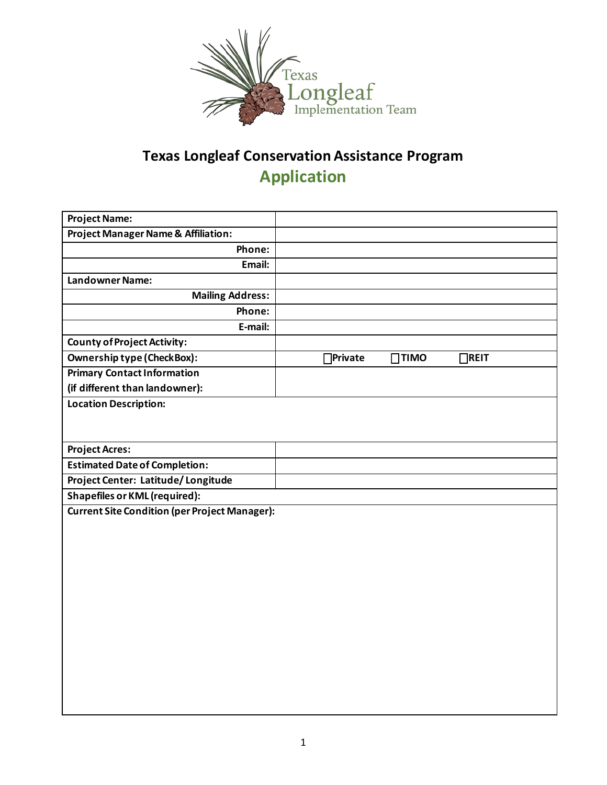

## **Texas Longleaf Conservation Assistance Program Application**

| <b>Project Name:</b>                                 |  |                 |             |             |  |  |
|------------------------------------------------------|--|-----------------|-------------|-------------|--|--|
| <b>Project Manager Name &amp; Affiliation:</b>       |  |                 |             |             |  |  |
| Phone:                                               |  |                 |             |             |  |  |
| Email:                                               |  |                 |             |             |  |  |
| <b>Landowner Name:</b>                               |  |                 |             |             |  |  |
| <b>Mailing Address:</b>                              |  |                 |             |             |  |  |
| Phone:                                               |  |                 |             |             |  |  |
| E-mail:                                              |  |                 |             |             |  |  |
| <b>County of Project Activity:</b>                   |  |                 |             |             |  |  |
| <b>Ownership type (CheckBox):</b>                    |  | <b>OPrivate</b> | $\Box$ TIMO | $\Box$ REIT |  |  |
| <b>Primary Contact Information</b>                   |  |                 |             |             |  |  |
| (if different than landowner):                       |  |                 |             |             |  |  |
| <b>Location Description:</b>                         |  |                 |             |             |  |  |
|                                                      |  |                 |             |             |  |  |
|                                                      |  |                 |             |             |  |  |
| <b>Project Acres:</b>                                |  |                 |             |             |  |  |
| <b>Estimated Date of Completion:</b>                 |  |                 |             |             |  |  |
| Project Center: Latitude/Longitude                   |  |                 |             |             |  |  |
| <b>Shapefiles or KML (required):</b>                 |  |                 |             |             |  |  |
| <b>Current Site Condition (per Project Manager):</b> |  |                 |             |             |  |  |
|                                                      |  |                 |             |             |  |  |
|                                                      |  |                 |             |             |  |  |
|                                                      |  |                 |             |             |  |  |
|                                                      |  |                 |             |             |  |  |
|                                                      |  |                 |             |             |  |  |
|                                                      |  |                 |             |             |  |  |
|                                                      |  |                 |             |             |  |  |
|                                                      |  |                 |             |             |  |  |
|                                                      |  |                 |             |             |  |  |
|                                                      |  |                 |             |             |  |  |
|                                                      |  |                 |             |             |  |  |
|                                                      |  |                 |             |             |  |  |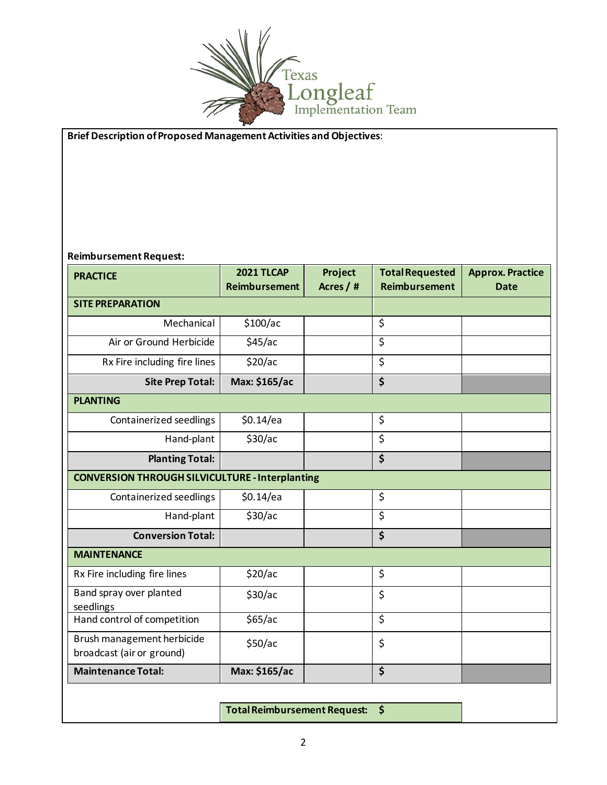

## **Brief Description of Proposed Management Activities and Objectives**:

## **Reimbursement Request:**

| <b>PRACTICE</b>                                         | <b>2021 TLCAP</b><br><b>Reimbursement</b> | Project<br>Acres / # | <b>Total Requested</b><br><b>Reimbursement</b> | <b>Approx. Practice</b><br><b>Date</b> |  |  |  |
|---------------------------------------------------------|-------------------------------------------|----------------------|------------------------------------------------|----------------------------------------|--|--|--|
| <b>SITE PREPARATION</b>                                 |                                           |                      |                                                |                                        |  |  |  |
| Mechanical                                              | \$100/ac                                  |                      | \$                                             |                                        |  |  |  |
| Air or Ground Herbicide                                 | \$45/ac                                   |                      | \$                                             |                                        |  |  |  |
| Rx Fire including fire lines                            | \$20/ac                                   |                      | \$                                             |                                        |  |  |  |
| <b>Site Prep Total:</b>                                 | Max: \$165/ac                             |                      | \$                                             |                                        |  |  |  |
| <b>PLANTING</b>                                         |                                           |                      |                                                |                                        |  |  |  |
| Containerized seedlings                                 | \$0.14/ea                                 |                      | \$                                             |                                        |  |  |  |
| Hand-plant                                              | \$30/ac                                   |                      | \$                                             |                                        |  |  |  |
| <b>Planting Total:</b>                                  |                                           |                      | \$                                             |                                        |  |  |  |
| <b>CONVERSION THROUGH SILVICULTURE - Interplanting</b>  |                                           |                      |                                                |                                        |  |  |  |
| Containerized seedlings                                 | $$0.14$ /ea                               |                      | \$                                             |                                        |  |  |  |
| Hand-plant                                              | \$30/ac                                   |                      | \$                                             |                                        |  |  |  |
| <b>Conversion Total:</b>                                |                                           |                      | \$                                             |                                        |  |  |  |
| <b>MAINTENANCE</b>                                      |                                           |                      |                                                |                                        |  |  |  |
| Rx Fire including fire lines                            | \$20/ac                                   |                      | \$                                             |                                        |  |  |  |
| Band spray over planted<br>seedlings                    | \$30/ac                                   |                      | \$                                             |                                        |  |  |  |
| Hand control of competition                             | \$65/ac                                   |                      | \$                                             |                                        |  |  |  |
| Brush management herbicide<br>broadcast (air or ground) | \$50/ac                                   |                      | \$                                             |                                        |  |  |  |
| <b>Maintenance Total:</b>                               | Max: \$165/ac                             |                      | \$                                             |                                        |  |  |  |

**Total Reimbursement Request: \$**